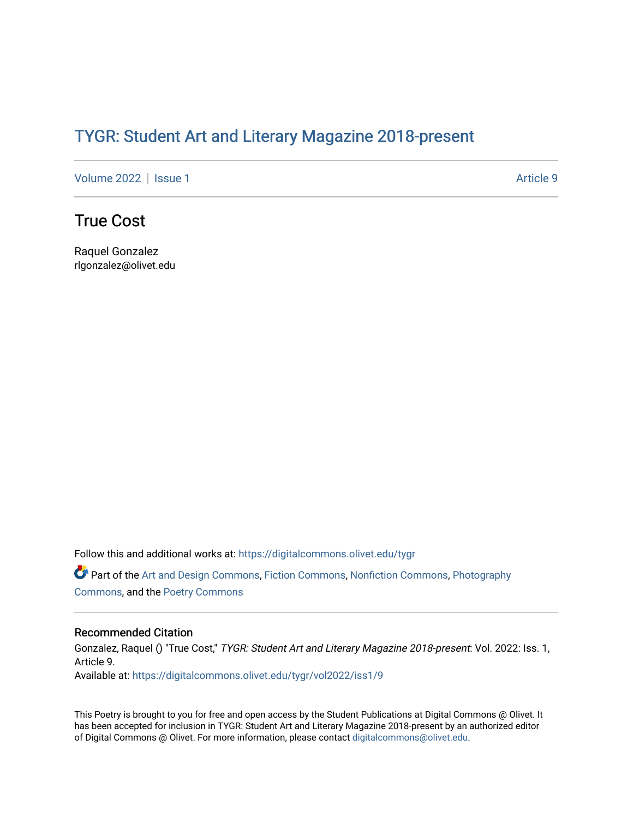## TYGR: Student Art and Literary Magazine 2018-present

[Volume 2022](https://digitalcommons.olivet.edu/tygr/vol2022) | [Issue 1](https://digitalcommons.olivet.edu/tygr/vol2022/iss1) Article 9

## True Cost

Raquel Gonzalez rlgonzalez@olivet.edu

Follow this and additional works at: [https://digitalcommons.olivet.edu/tygr](https://digitalcommons.olivet.edu/tygr?utm_source=digitalcommons.olivet.edu%2Ftygr%2Fvol2022%2Fiss1%2F9&utm_medium=PDF&utm_campaign=PDFCoverPages)

Part of the [Art and Design Commons](http://network.bepress.com/hgg/discipline/1049?utm_source=digitalcommons.olivet.edu%2Ftygr%2Fvol2022%2Fiss1%2F9&utm_medium=PDF&utm_campaign=PDFCoverPages), [Fiction Commons](http://network.bepress.com/hgg/discipline/1151?utm_source=digitalcommons.olivet.edu%2Ftygr%2Fvol2022%2Fiss1%2F9&utm_medium=PDF&utm_campaign=PDFCoverPages), [Nonfiction Commons,](http://network.bepress.com/hgg/discipline/1152?utm_source=digitalcommons.olivet.edu%2Ftygr%2Fvol2022%2Fiss1%2F9&utm_medium=PDF&utm_campaign=PDFCoverPages) [Photography](http://network.bepress.com/hgg/discipline/1142?utm_source=digitalcommons.olivet.edu%2Ftygr%2Fvol2022%2Fiss1%2F9&utm_medium=PDF&utm_campaign=PDFCoverPages) [Commons](http://network.bepress.com/hgg/discipline/1142?utm_source=digitalcommons.olivet.edu%2Ftygr%2Fvol2022%2Fiss1%2F9&utm_medium=PDF&utm_campaign=PDFCoverPages), and the [Poetry Commons](http://network.bepress.com/hgg/discipline/1153?utm_source=digitalcommons.olivet.edu%2Ftygr%2Fvol2022%2Fiss1%2F9&utm_medium=PDF&utm_campaign=PDFCoverPages)

## Recommended Citation

Gonzalez, Raquel () "True Cost," TYGR: Student Art and Literary Magazine 2018-present: Vol. 2022: Iss. 1, Article 9. Available at: [https://digitalcommons.olivet.edu/tygr/vol2022/iss1/9](https://digitalcommons.olivet.edu/tygr/vol2022/iss1/9?utm_source=digitalcommons.olivet.edu%2Ftygr%2Fvol2022%2Fiss1%2F9&utm_medium=PDF&utm_campaign=PDFCoverPages) 

This Poetry is brought to you for free and open access by the Student Publications at Digital Commons @ Olivet. It has been accepted for inclusion in TYGR: Student Art and Literary Magazine 2018-present by an authorized editor of Digital Commons @ Olivet. For more information, please contact [digitalcommons@olivet.edu.](mailto:digitalcommons@olivet.edu)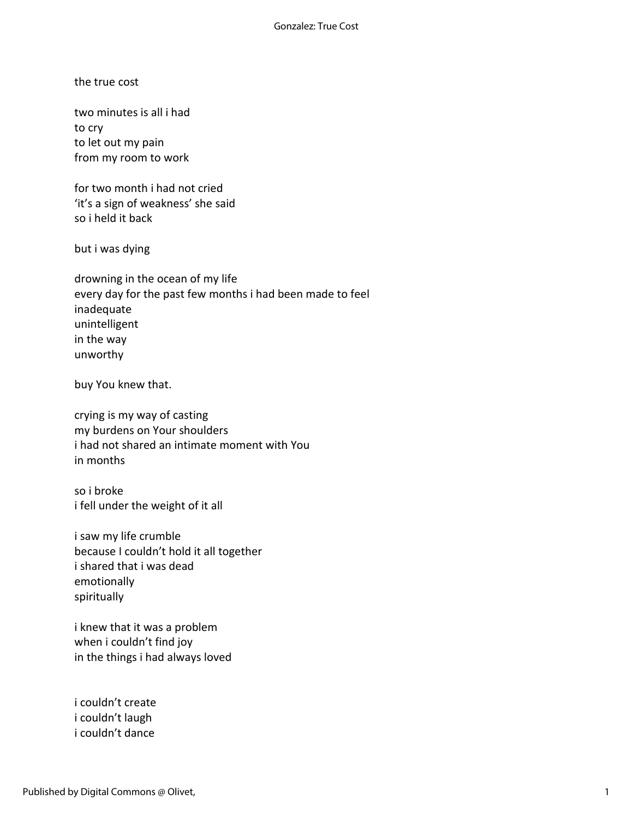the true cost

two minutes is all i had to cry to let out my pain from my room to work

for two month i had not cried 'it's a sign of weakness' she said so i held it back

but i was dying

drowning in the ocean of my life every day for the past few months i had been made to feel inadequate unintelligent in the way unworthy

buy You knew that.

crying is my way of casting my burdens on Your shoulders i had not shared an intimate moment with You in months

so i broke i fell under the weight of it all

i saw my life crumble because I couldn't hold it all together i shared that i was dead emotionally spiritually

i knew that it was a problem when i couldn't find joy in the things i had always loved

i couldn't create i couldn't laugh i couldn't dance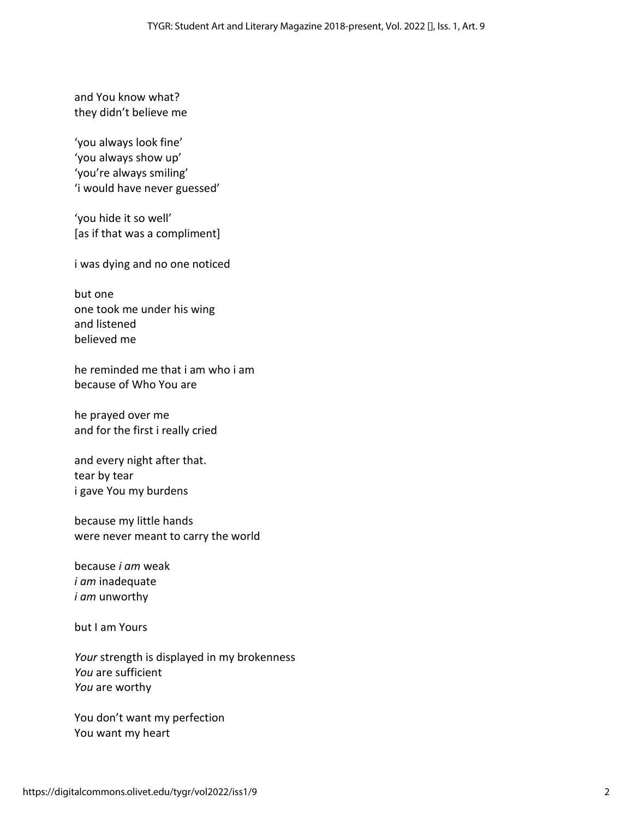and You know what? they didn't believe me

'you always look fine' 'you always show up' 'you're always smiling' 'i would have never guessed'

'you hide it so well' [as if that was a compliment]

i was dying and no one noticed

but one one took me under his wing and listened believed me

he reminded me that i am who i am because of Who You are

he prayed over me and for the first i really cried

and every night after that. tear by tear i gave You my burdens

because my little hands were never meant to carry the world

because *i am* weak *i am* inadequate *i am* unworthy

but I am Yours

*Your* strength is displayed in my brokenness *You* are sufficient *You* are worthy

You don't want my perfection You want my heart